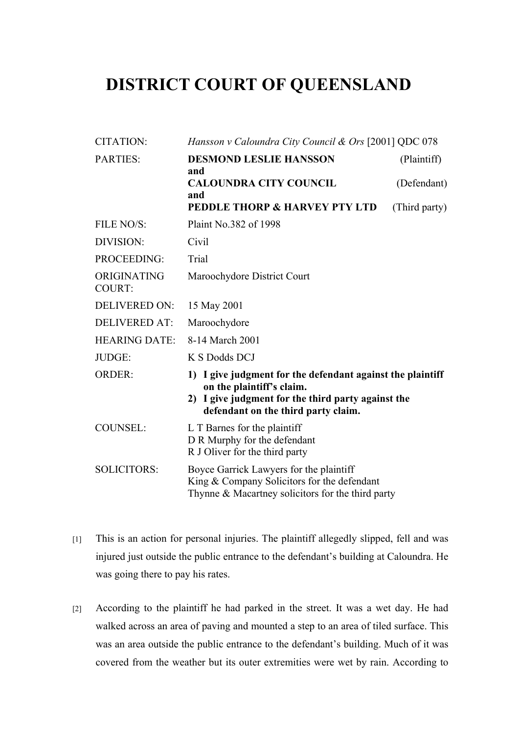# **DISTRICT COURT OF QUEENSLAND**

| <b>CITATION:</b>             | Hansson v Caloundra City Council & Ors [2001] QDC 078                                                                                                                                |               |
|------------------------------|--------------------------------------------------------------------------------------------------------------------------------------------------------------------------------------|---------------|
| <b>PARTIES:</b>              | <b>DESMOND LESLIE HANSSON</b><br>and                                                                                                                                                 | (Plaintiff)   |
|                              | <b>CALOUNDRA CITY COUNCIL</b><br>and                                                                                                                                                 | (Defendant)   |
|                              | <b>PEDDLE THORP &amp; HARVEY PTY LTD</b>                                                                                                                                             | (Third party) |
| FILE NO/S:                   | Plaint No. 382 of 1998                                                                                                                                                               |               |
| DIVISION:                    | Civil                                                                                                                                                                                |               |
| PROCEEDING:                  | Trial                                                                                                                                                                                |               |
| ORIGINATING<br><b>COURT:</b> | Maroochydore District Court                                                                                                                                                          |               |
| <b>DELIVERED ON:</b>         | 15 May 2001                                                                                                                                                                          |               |
| <b>DELIVERED AT:</b>         | Maroochydore                                                                                                                                                                         |               |
| <b>HEARING DATE:</b>         | 8-14 March 2001                                                                                                                                                                      |               |
| JUDGE:                       | K S Dodds DCJ                                                                                                                                                                        |               |
| <b>ORDER:</b>                | 1) I give judgment for the defendant against the plaintiff<br>on the plaintiff's claim.<br>2) I give judgment for the third party against the<br>defendant on the third party claim. |               |
| <b>COUNSEL:</b>              | L T Barnes for the plaintiff<br>D R Murphy for the defendant<br>R J Oliver for the third party                                                                                       |               |
| <b>SOLICITORS:</b>           | Boyce Garrick Lawyers for the plaintiff<br>King & Company Solicitors for the defendant<br>Thynne & Macartney solicitors for the third party                                          |               |

- [1] This is an action for personal injuries. The plaintiff allegedly slipped, fell and was injured just outside the public entrance to the defendant's building at Caloundra. He was going there to pay his rates.
- [2] According to the plaintiff he had parked in the street. It was a wet day. He had walked across an area of paving and mounted a step to an area of tiled surface. This was an area outside the public entrance to the defendant's building. Much of it was covered from the weather but its outer extremities were wet by rain. According to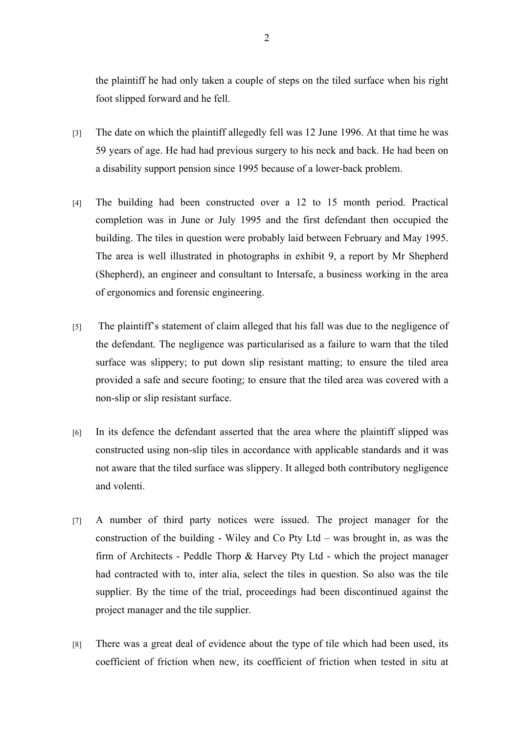the plaintiff he had only taken a couple of steps on the tiled surface when his right foot slipped forward and he fell.

- [3] The date on which the plaintiff allegedly fell was 12 June 1996. At that time he was 59 years of age. He had had previous surgery to his neck and back. He had been on a disability support pension since 1995 because of a lower-back problem.
- [4] The building had been constructed over a 12 to 15 month period. Practical completion was in June or July 1995 and the first defendant then occupied the building. The tiles in question were probably laid between February and May 1995. The area is well illustrated in photographs in exhibit 9, a report by Mr Shepherd (Shepherd), an engineer and consultant to Intersafe, a business working in the area of ergonomics and forensic engineering.
- [5] The plaintiff's statement of claim alleged that his fall was due to the negligence of the defendant. The negligence was particularised as a failure to warn that the tiled surface was slippery; to put down slip resistant matting; to ensure the tiled area provided a safe and secure footing; to ensure that the tiled area was covered with a non-slip or slip resistant surface.
- [6] In its defence the defendant asserted that the area where the plaintiff slipped was constructed using non-slip tiles in accordance with applicable standards and it was not aware that the tiled surface was slippery. It alleged both contributory negligence and volenti.
- [7] A number of third party notices were issued. The project manager for the construction of the building - Wiley and Co Pty Ltd – was brought in, as was the firm of Architects - Peddle Thorp & Harvey Pty Ltd - which the project manager had contracted with to, inter alia, select the tiles in question. So also was the tile supplier. By the time of the trial, proceedings had been discontinued against the project manager and the tile supplier.
- [8] There was a great deal of evidence about the type of tile which had been used, its coefficient of friction when new, its coefficient of friction when tested in situ at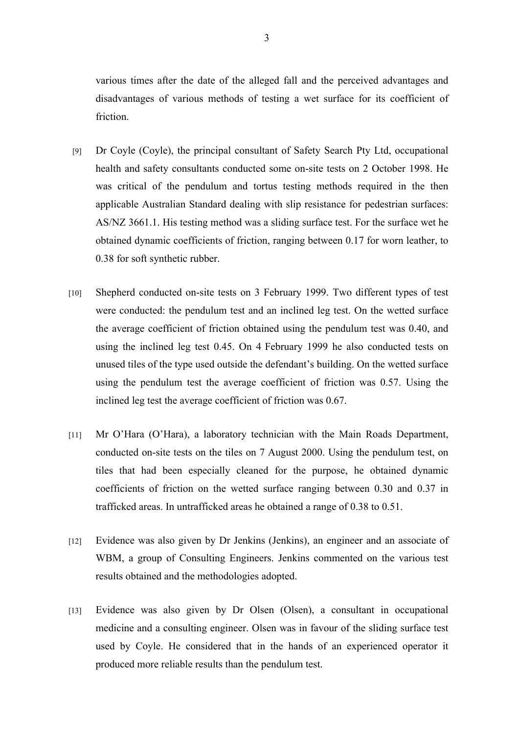various times after the date of the alleged fall and the perceived advantages and disadvantages of various methods of testing a wet surface for its coefficient of friction.

- [9] Dr Coyle (Coyle), the principal consultant of Safety Search Pty Ltd, occupational health and safety consultants conducted some on-site tests on 2 October 1998. He was critical of the pendulum and tortus testing methods required in the then applicable Australian Standard dealing with slip resistance for pedestrian surfaces: AS/NZ 3661.1. His testing method was a sliding surface test. For the surface wet he obtained dynamic coefficients of friction, ranging between 0.17 for worn leather, to 0.38 for soft synthetic rubber.
- [10] Shepherd conducted on-site tests on 3 February 1999. Two different types of test were conducted: the pendulum test and an inclined leg test. On the wetted surface the average coefficient of friction obtained using the pendulum test was 0.40, and using the inclined leg test 0.45. On 4 February 1999 he also conducted tests on unused tiles of the type used outside the defendant's building. On the wetted surface using the pendulum test the average coefficient of friction was 0.57. Using the inclined leg test the average coefficient of friction was 0.67.
- [11] Mr O'Hara (O'Hara), a laboratory technician with the Main Roads Department, conducted on-site tests on the tiles on 7 August 2000. Using the pendulum test, on tiles that had been especially cleaned for the purpose, he obtained dynamic coefficients of friction on the wetted surface ranging between 0.30 and 0.37 in trafficked areas. In untrafficked areas he obtained a range of 0.38 to 0.51.
- [12] Evidence was also given by Dr Jenkins (Jenkins), an engineer and an associate of WBM, a group of Consulting Engineers. Jenkins commented on the various test results obtained and the methodologies adopted.
- [13] Evidence was also given by Dr Olsen (Olsen), a consultant in occupational medicine and a consulting engineer. Olsen was in favour of the sliding surface test used by Coyle. He considered that in the hands of an experienced operator it produced more reliable results than the pendulum test.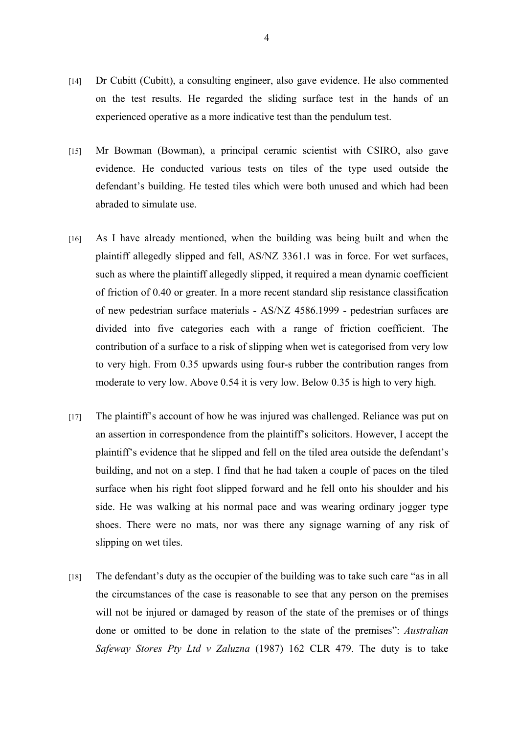- [14] Dr Cubitt (Cubitt), a consulting engineer, also gave evidence. He also commented on the test results. He regarded the sliding surface test in the hands of an experienced operative as a more indicative test than the pendulum test.
- [15] Mr Bowman (Bowman), a principal ceramic scientist with CSIRO, also gave evidence. He conducted various tests on tiles of the type used outside the defendant's building. He tested tiles which were both unused and which had been abraded to simulate use.
- [16] As I have already mentioned, when the building was being built and when the plaintiff allegedly slipped and fell, AS/NZ 3361.1 was in force. For wet surfaces, such as where the plaintiff allegedly slipped, it required a mean dynamic coefficient of friction of 0.40 or greater. In a more recent standard slip resistance classification of new pedestrian surface materials - AS/NZ 4586.1999 - pedestrian surfaces are divided into five categories each with a range of friction coefficient. The contribution of a surface to a risk of slipping when wet is categorised from very low to very high. From 0.35 upwards using four-s rubber the contribution ranges from moderate to very low. Above 0.54 it is very low. Below 0.35 is high to very high.
- [17] The plaintiff's account of how he was injured was challenged. Reliance was put on an assertion in correspondence from the plaintiff's solicitors. However, I accept the plaintiff's evidence that he slipped and fell on the tiled area outside the defendant's building, and not on a step. I find that he had taken a couple of paces on the tiled surface when his right foot slipped forward and he fell onto his shoulder and his side. He was walking at his normal pace and was wearing ordinary jogger type shoes. There were no mats, nor was there any signage warning of any risk of slipping on wet tiles.
- [18] The defendant's duty as the occupier of the building was to take such care "as in all the circumstances of the case is reasonable to see that any person on the premises will not be injured or damaged by reason of the state of the premises or of things done or omitted to be done in relation to the state of the premises": *Australian Safeway Stores Pty Ltd v Zaluzna* (1987) 162 CLR 479. The duty is to take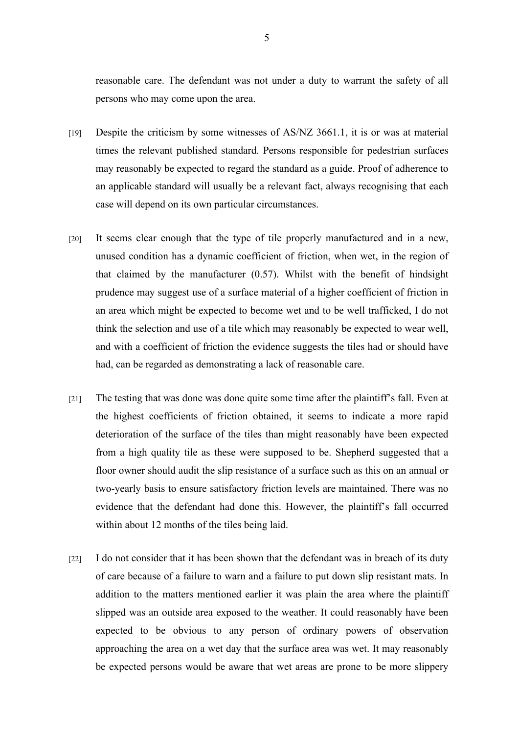reasonable care. The defendant was not under a duty to warrant the safety of all persons who may come upon the area.

- [19] Despite the criticism by some witnesses of AS/NZ 3661.1, it is or was at material times the relevant published standard. Persons responsible for pedestrian surfaces may reasonably be expected to regard the standard as a guide. Proof of adherence to an applicable standard will usually be a relevant fact, always recognising that each case will depend on its own particular circumstances.
- [20] It seems clear enough that the type of tile properly manufactured and in a new, unused condition has a dynamic coefficient of friction, when wet, in the region of that claimed by the manufacturer (0.57). Whilst with the benefit of hindsight prudence may suggest use of a surface material of a higher coefficient of friction in an area which might be expected to become wet and to be well trafficked, I do not think the selection and use of a tile which may reasonably be expected to wear well, and with a coefficient of friction the evidence suggests the tiles had or should have had, can be regarded as demonstrating a lack of reasonable care.
- [21] The testing that was done was done quite some time after the plaintiff's fall. Even at the highest coefficients of friction obtained, it seems to indicate a more rapid deterioration of the surface of the tiles than might reasonably have been expected from a high quality tile as these were supposed to be. Shepherd suggested that a floor owner should audit the slip resistance of a surface such as this on an annual or two-yearly basis to ensure satisfactory friction levels are maintained. There was no evidence that the defendant had done this. However, the plaintiff's fall occurred within about 12 months of the tiles being laid.
- [22] I do not consider that it has been shown that the defendant was in breach of its duty of care because of a failure to warn and a failure to put down slip resistant mats. In addition to the matters mentioned earlier it was plain the area where the plaintiff slipped was an outside area exposed to the weather. It could reasonably have been expected to be obvious to any person of ordinary powers of observation approaching the area on a wet day that the surface area was wet. It may reasonably be expected persons would be aware that wet areas are prone to be more slippery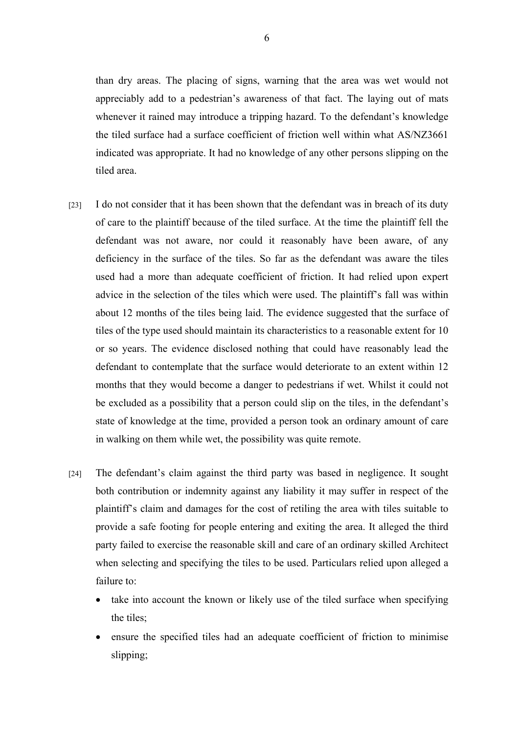than dry areas. The placing of signs, warning that the area was wet would not appreciably add to a pedestrian's awareness of that fact. The laying out of mats whenever it rained may introduce a tripping hazard. To the defendant's knowledge the tiled surface had a surface coefficient of friction well within what AS/NZ3661 indicated was appropriate. It had no knowledge of any other persons slipping on the tiled area.

- [23] I do not consider that it has been shown that the defendant was in breach of its duty of care to the plaintiff because of the tiled surface. At the time the plaintiff fell the defendant was not aware, nor could it reasonably have been aware, of any deficiency in the surface of the tiles. So far as the defendant was aware the tiles used had a more than adequate coefficient of friction. It had relied upon expert advice in the selection of the tiles which were used. The plaintiff's fall was within about 12 months of the tiles being laid. The evidence suggested that the surface of tiles of the type used should maintain its characteristics to a reasonable extent for 10 or so years. The evidence disclosed nothing that could have reasonably lead the defendant to contemplate that the surface would deteriorate to an extent within 12 months that they would become a danger to pedestrians if wet. Whilst it could not be excluded as a possibility that a person could slip on the tiles, in the defendant's state of knowledge at the time, provided a person took an ordinary amount of care in walking on them while wet, the possibility was quite remote.
- [24] The defendant's claim against the third party was based in negligence. It sought both contribution or indemnity against any liability it may suffer in respect of the plaintiff's claim and damages for the cost of retiling the area with tiles suitable to provide a safe footing for people entering and exiting the area. It alleged the third party failed to exercise the reasonable skill and care of an ordinary skilled Architect when selecting and specifying the tiles to be used. Particulars relied upon alleged a failure to:
	- take into account the known or likely use of the tiled surface when specifying the tiles;
	- ensure the specified tiles had an adequate coefficient of friction to minimise slipping;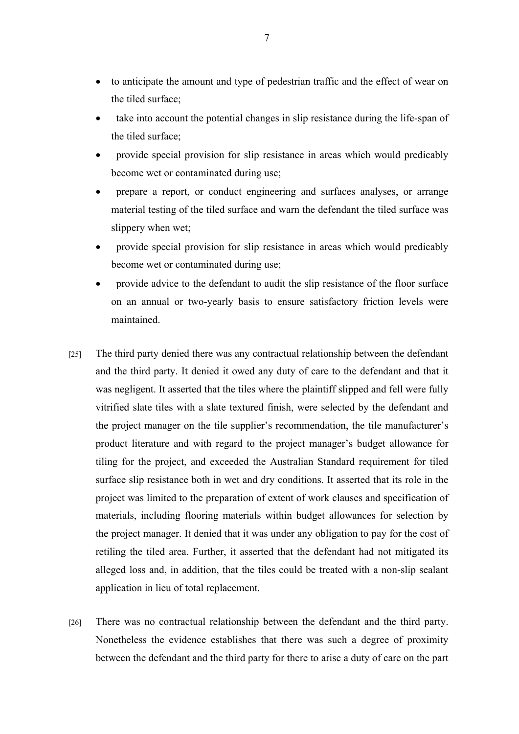- to anticipate the amount and type of pedestrian traffic and the effect of wear on the tiled surface;
- take into account the potential changes in slip resistance during the life-span of the tiled surface;
- provide special provision for slip resistance in areas which would predicably become wet or contaminated during use;
- prepare a report, or conduct engineering and surfaces analyses, or arrange material testing of the tiled surface and warn the defendant the tiled surface was slippery when wet;
- provide special provision for slip resistance in areas which would predicably become wet or contaminated during use;
- provide advice to the defendant to audit the slip resistance of the floor surface on an annual or two-yearly basis to ensure satisfactory friction levels were maintained.
- [25] The third party denied there was any contractual relationship between the defendant and the third party. It denied it owed any duty of care to the defendant and that it was negligent. It asserted that the tiles where the plaintiff slipped and fell were fully vitrified slate tiles with a slate textured finish, were selected by the defendant and the project manager on the tile supplier's recommendation, the tile manufacturer's product literature and with regard to the project manager's budget allowance for tiling for the project, and exceeded the Australian Standard requirement for tiled surface slip resistance both in wet and dry conditions. It asserted that its role in the project was limited to the preparation of extent of work clauses and specification of materials, including flooring materials within budget allowances for selection by the project manager. It denied that it was under any obligation to pay for the cost of retiling the tiled area. Further, it asserted that the defendant had not mitigated its alleged loss and, in addition, that the tiles could be treated with a non-slip sealant application in lieu of total replacement.
- [26] There was no contractual relationship between the defendant and the third party. Nonetheless the evidence establishes that there was such a degree of proximity between the defendant and the third party for there to arise a duty of care on the part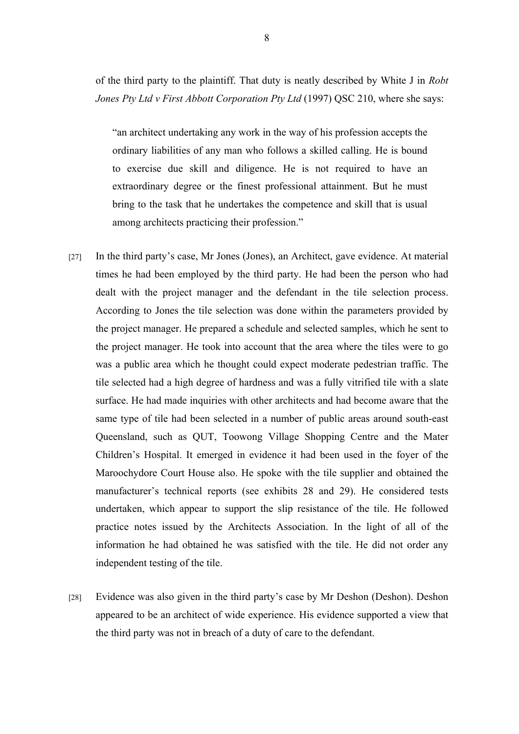of the third party to the plaintiff. That duty is neatly described by White J in *Robt Jones Pty Ltd v First Abbott Corporation Pty Ltd* (1997) QSC 210, where she says:

"an architect undertaking any work in the way of his profession accepts the ordinary liabilities of any man who follows a skilled calling. He is bound to exercise due skill and diligence. He is not required to have an extraordinary degree or the finest professional attainment. But he must bring to the task that he undertakes the competence and skill that is usual among architects practicing their profession."

- [27] In the third party's case, Mr Jones (Jones), an Architect, gave evidence. At material times he had been employed by the third party. He had been the person who had dealt with the project manager and the defendant in the tile selection process. According to Jones the tile selection was done within the parameters provided by the project manager. He prepared a schedule and selected samples, which he sent to the project manager. He took into account that the area where the tiles were to go was a public area which he thought could expect moderate pedestrian traffic. The tile selected had a high degree of hardness and was a fully vitrified tile with a slate surface. He had made inquiries with other architects and had become aware that the same type of tile had been selected in a number of public areas around south-east Queensland, such as QUT, Toowong Village Shopping Centre and the Mater Children's Hospital. It emerged in evidence it had been used in the foyer of the Maroochydore Court House also. He spoke with the tile supplier and obtained the manufacturer's technical reports (see exhibits 28 and 29). He considered tests undertaken, which appear to support the slip resistance of the tile. He followed practice notes issued by the Architects Association. In the light of all of the information he had obtained he was satisfied with the tile. He did not order any independent testing of the tile.
- [28] Evidence was also given in the third party's case by Mr Deshon (Deshon). Deshon appeared to be an architect of wide experience. His evidence supported a view that the third party was not in breach of a duty of care to the defendant.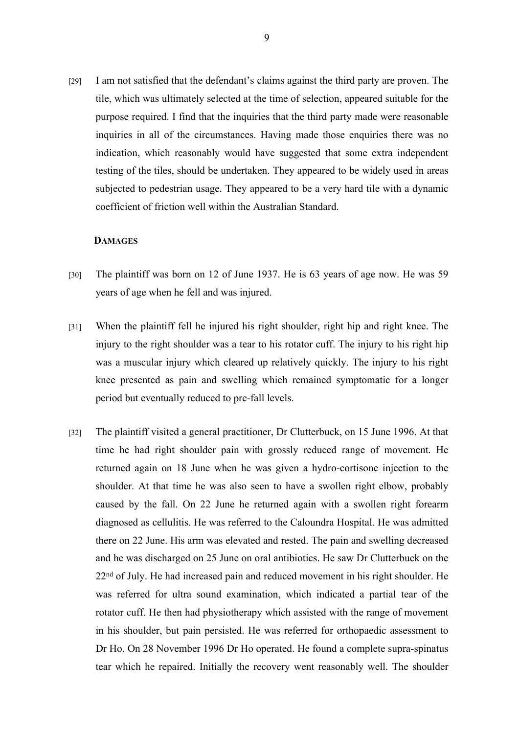[29] I am not satisfied that the defendant's claims against the third party are proven. The tile, which was ultimately selected at the time of selection, appeared suitable for the purpose required. I find that the inquiries that the third party made were reasonable inquiries in all of the circumstances. Having made those enquiries there was no indication, which reasonably would have suggested that some extra independent testing of the tiles, should be undertaken. They appeared to be widely used in areas subjected to pedestrian usage. They appeared to be a very hard tile with a dynamic coefficient of friction well within the Australian Standard.

#### **DAMAGES**

- [30] The plaintiff was born on 12 of June 1937. He is 63 years of age now. He was 59 years of age when he fell and was injured.
- [31] When the plaintiff fell he injured his right shoulder, right hip and right knee. The injury to the right shoulder was a tear to his rotator cuff. The injury to his right hip was a muscular injury which cleared up relatively quickly. The injury to his right knee presented as pain and swelling which remained symptomatic for a longer period but eventually reduced to pre-fall levels.
- [32] The plaintiff visited a general practitioner, Dr Clutterbuck, on 15 June 1996. At that time he had right shoulder pain with grossly reduced range of movement. He returned again on 18 June when he was given a hydro-cortisone injection to the shoulder. At that time he was also seen to have a swollen right elbow, probably caused by the fall. On 22 June he returned again with a swollen right forearm diagnosed as cellulitis. He was referred to the Caloundra Hospital. He was admitted there on 22 June. His arm was elevated and rested. The pain and swelling decreased and he was discharged on 25 June on oral antibiotics. He saw Dr Clutterbuck on the 22nd of July. He had increased pain and reduced movement in his right shoulder. He was referred for ultra sound examination, which indicated a partial tear of the rotator cuff. He then had physiotherapy which assisted with the range of movement in his shoulder, but pain persisted. He was referred for orthopaedic assessment to Dr Ho. On 28 November 1996 Dr Ho operated. He found a complete supra-spinatus tear which he repaired. Initially the recovery went reasonably well. The shoulder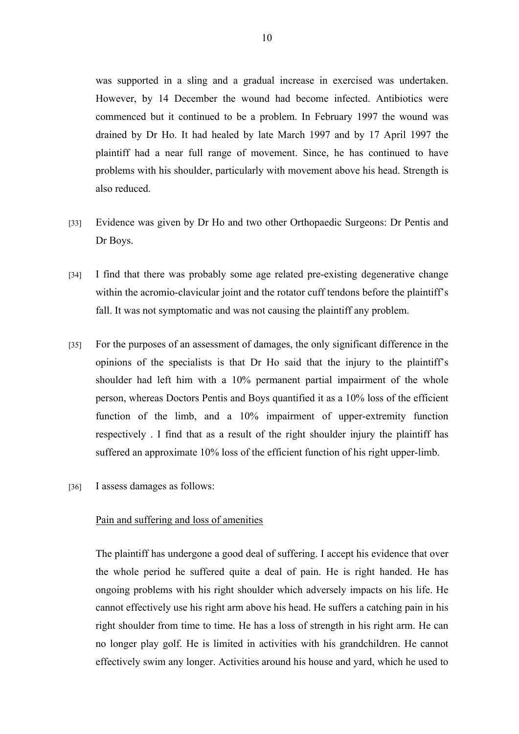was supported in a sling and a gradual increase in exercised was undertaken. However, by 14 December the wound had become infected. Antibiotics were commenced but it continued to be a problem. In February 1997 the wound was drained by Dr Ho. It had healed by late March 1997 and by 17 April 1997 the plaintiff had a near full range of movement. Since, he has continued to have problems with his shoulder, particularly with movement above his head. Strength is also reduced.

- [33] Evidence was given by Dr Ho and two other Orthopaedic Surgeons: Dr Pentis and Dr Boys.
- [34] I find that there was probably some age related pre-existing degenerative change within the acromio-clavicular joint and the rotator cuff tendons before the plaintiff's fall. It was not symptomatic and was not causing the plaintiff any problem.
- [35] For the purposes of an assessment of damages, the only significant difference in the opinions of the specialists is that Dr Ho said that the injury to the plaintiff's shoulder had left him with a 10% permanent partial impairment of the whole person, whereas Doctors Pentis and Boys quantified it as a 10% loss of the efficient function of the limb, and a 10% impairment of upper-extremity function respectively . I find that as a result of the right shoulder injury the plaintiff has suffered an approximate 10% loss of the efficient function of his right upper-limb.
- [36] I assess damages as follows:

### Pain and suffering and loss of amenities

The plaintiff has undergone a good deal of suffering. I accept his evidence that over the whole period he suffered quite a deal of pain. He is right handed. He has ongoing problems with his right shoulder which adversely impacts on his life. He cannot effectively use his right arm above his head. He suffers a catching pain in his right shoulder from time to time. He has a loss of strength in his right arm. He can no longer play golf. He is limited in activities with his grandchildren. He cannot effectively swim any longer. Activities around his house and yard, which he used to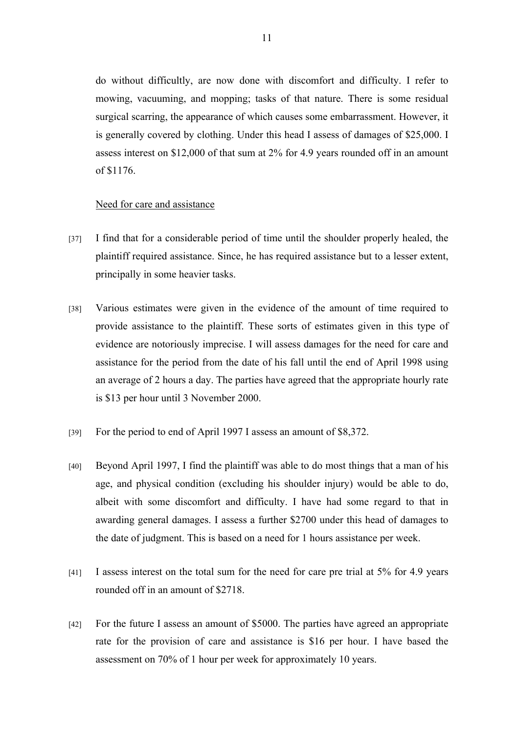do without difficultly, are now done with discomfort and difficulty. I refer to mowing, vacuuming, and mopping; tasks of that nature. There is some residual surgical scarring, the appearance of which causes some embarrassment. However, it is generally covered by clothing. Under this head I assess of damages of \$25,000. I assess interest on \$12,000 of that sum at 2% for 4.9 years rounded off in an amount of \$1176.

#### Need for care and assistance

- [37] I find that for a considerable period of time until the shoulder properly healed, the plaintiff required assistance. Since, he has required assistance but to a lesser extent, principally in some heavier tasks.
- [38] Various estimates were given in the evidence of the amount of time required to provide assistance to the plaintiff. These sorts of estimates given in this type of evidence are notoriously imprecise. I will assess damages for the need for care and assistance for the period from the date of his fall until the end of April 1998 using an average of 2 hours a day. The parties have agreed that the appropriate hourly rate is \$13 per hour until 3 November 2000.
- [39] For the period to end of April 1997 I assess an amount of \$8,372.
- [40] Beyond April 1997, I find the plaintiff was able to do most things that a man of his age, and physical condition (excluding his shoulder injury) would be able to do, albeit with some discomfort and difficulty. I have had some regard to that in awarding general damages. I assess a further \$2700 under this head of damages to the date of judgment. This is based on a need for 1 hours assistance per week.
- [41] I assess interest on the total sum for the need for care pre trial at 5% for 4.9 years rounded off in an amount of \$2718.
- [42] For the future I assess an amount of \$5000. The parties have agreed an appropriate rate for the provision of care and assistance is \$16 per hour. I have based the assessment on 70% of 1 hour per week for approximately 10 years.